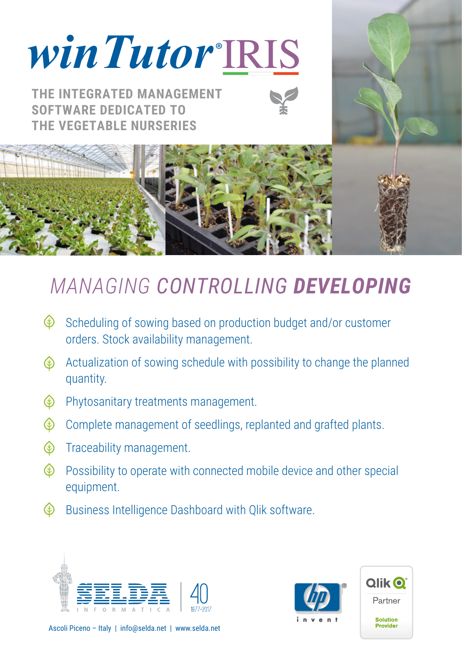# *winTutor* **®** IRIS

**THE INTEGRATED MANAGEMENT SOFTWARE DEDICATED TO THE VEGETABLE NURSERIES**





## *MANAGING CONTROLLING DEVELOPING*

- $\bigcirc$ Scheduling of sowing based on production budget and/or customer orders. Stock availability management.
- Actualization of sowing schedule with possibility to change the planned ⊛ quantity.
- Phytosanitary treatments management.  $\circledast$
- Complete management of seedlings, replanted and grafted plants.
- « Traceability management.
- $\circledast$ Possibility to operate with connected mobile device and other special equipment.
- ⊛ Business Intelligence Dashboard with Qlik software.







Ascoli Piceno – Italy | info@selda.net | www.selda.net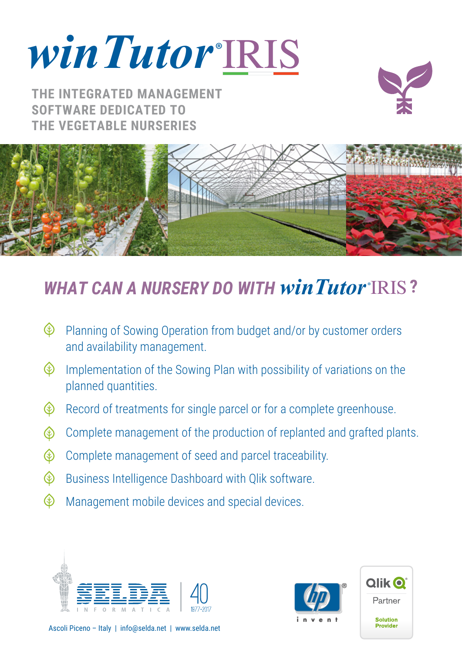*winTutor* **®** IRIS

**THE INTEGRATED MANAGEMENT SOFTWARE DEDICATED TO THE VEGETABLE NURSERIES**





### **WHAT CAN A NURSERY DO WITH winTutor\*IRIS?**

- Planning of Sowing Operation from budget and/or by customer orders « and availability management.
- « Implementation of the Sowing Plan with possibility of variations on the planned quantities.
- $\circledast$ Record of treatments for single parcel or for a complete greenhouse.
- Complete management of the production of replanted and grafted plants. ⊛
- Complete management of seed and parcel traceability. ⊛
- $\circledast$ Business Intelligence Dashboard with Qlik software.
- $\circledast$ Management mobile devices and special devices.







Ascoli Piceno – Italy | info@selda.net | www.selda.net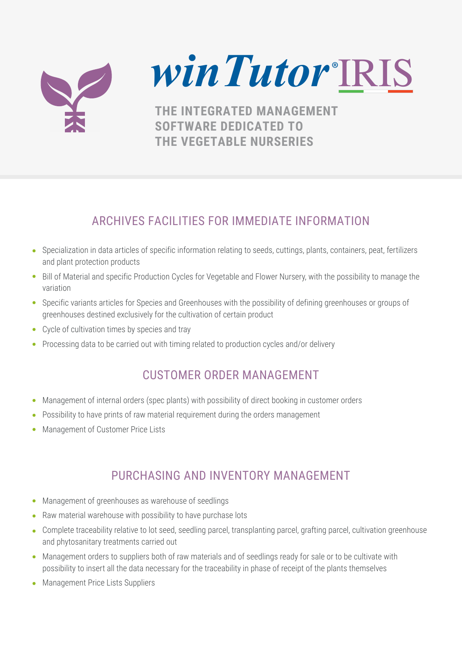

*winTutor* **®** IRIS

**THE INTEGRATED MANAGEMENT SOFTWARE DEDICATED TO THE VEGETABLE NURSERIES**

#### ARCHIVES FACILITIES FOR IMMEDIATE INFORMATION

- Specialization in data articles of specific information relating to seeds, cuttings, plants, containers, peat, fertilizers and plant protection products
- Bill of Material and specific Production Cycles for Vegetable and Flower Nursery, with the possibility to manage the variation
- Specific variants articles for Species and Greenhouses with the possibility of defining greenhouses or groups of greenhouses destined exclusively for the cultivation of certain product
- Cycle of cultivation times by species and tray
- Processing data to be carried out with timing related to production cycles and/or delivery

#### CUSTOMER ORDER MANAGEMENT

- Management of internal orders (spec plants) with possibility of direct booking in customer orders  $\bullet$
- Possibility to have prints of raw material requirement during the orders management
- Management of Customer Price Lists

#### PURCHASING AND INVENTORY MANAGEMENT

- Management of greenhouses as warehouse of seedlings
- Raw material warehouse with possibility to have purchase lots
- Complete traceability relative to lot seed, seedling parcel, transplanting parcel, grafting parcel, cultivation greenhouse and phytosanitary treatments carried out
- Management orders to suppliers both of raw materials and of seedlings ready for sale or to be cultivate with possibility to insert all the data necessary for the traceability in phase of receipt of the plants themselves
- Management Price Lists Suppliers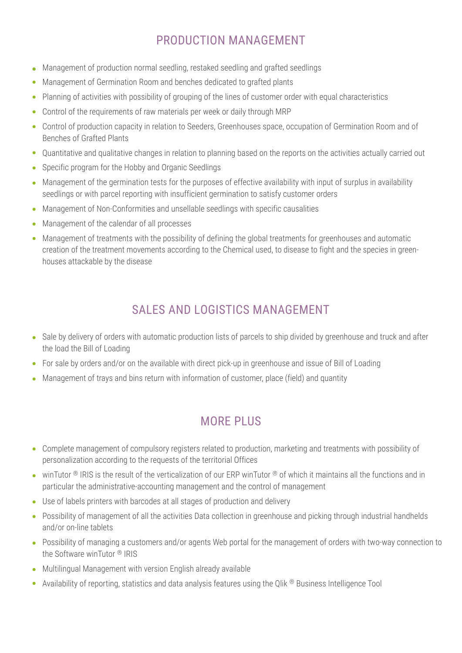#### PRODUCTION MANAGEMENT

- Management of production normal seedling, restaked seedling and grafted seedlings  $\bullet$
- Management of Germination Room and benches dedicated to grafted plants  $\bullet$
- Planning of activities with possibility of grouping of the lines of customer order with equal characteristics  $\bullet$
- Control of the requirements of raw materials per week or daily through MRP  $\bullet$
- Control of production capacity in relation to Seeders, Greenhouses space, occupation of Germination Room and of Benches of Grafted Plants
- Quantitative and qualitative changes in relation to planning based on the reports on the activities actually carried out
- Specific program for the Hobby and Organic Seedlings
- Management of the germination tests for the purposes of effective availability with input of surplus in availability seedlings or with parcel reporting with insufficient germination to satisfy customer orders
- Management of Non-Conformities and unsellable seedlings with specific causalities
- Management of the calendar of all processes
- Management of treatments with the possibility of defining the global treatments for greenhouses and automatic creation of the treatment movements according to the Chemical used, to disease to fight and the species in greenhouses attackable by the disease

#### SALES AND LOGISTICS MANAGEMENT

- Sale by delivery of orders with automatic production lists of parcels to ship divided by greenhouse and truck and after the load the Bill of Loading
- For sale by orders and/or on the available with direct pick-up in greenhouse and issue of Bill of Loading
- Management of trays and bins return with information of customer, place (field) and quantity

#### MORE PLUS

- Complete management of compulsory registers related to production, marketing and treatments with possibility of personalization according to the requests of the territorial Offices
- $\bullet$  winTutor ® IRIS is the result of the verticalization of our ERP winTutor ® of which it maintains all the functions and in particular the administrative-accounting management and the control of management
- Use of labels printers with barcodes at all stages of production and delivery
- Possibility of management of all the activities Data collection in greenhouse and picking through industrial handhelds and/or on-line tablets
- Possibility of managing a customers and/or agents Web portal for the management of orders with two-way connection to the Software winTutor ® IRIS
- Multilingual Management with version English already available
- Availability of reporting, statistics and data analysis features using the Qlik ® Business Intelligence Tool